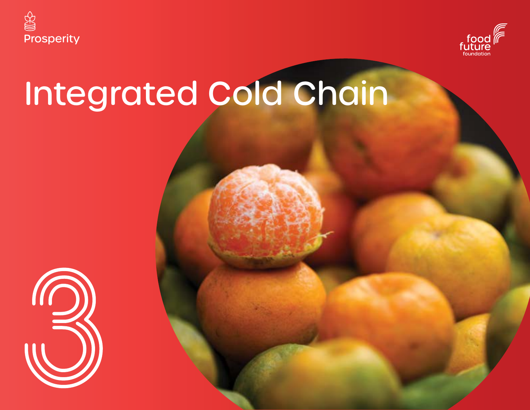



# Integrated Cold Chain

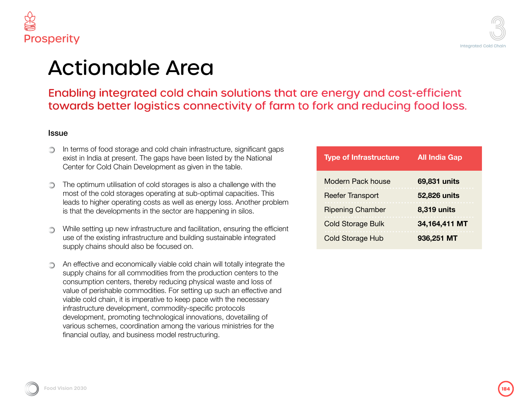



### le Area

ed cold chain solutions that are energy and cost-efficient gistics connectivity of farm to fork and reducing food loss.

- In terms of food storage and cold chain infrastructure, significant gaps exist in India at present. The gaps have been listed by the National Center for Cold Chain Development as given in the table.
- The optimum utilisation of cold storages is also a challenge with the most of the cold storages operating at sub-optimal capacities. This leads to higher operating costs as well as energy loss. Another problem is that the developments in the sector are happening in silos.
- While setting up new infrastructure and facilitation, ensuring the efficient use of the existing infrastructure and building sustainable integrated supply chains should also be focused on.
- An effective and economically viable cold chain will totally integrate the supply chains for all commodities from the production centers to the consumption centers, thereby reducing physical waste and loss of value of perishable commodities. For setting up such an effective and viable cold chain, it is imperative to keep pace with the necessary infrastructure development, commodity-specific protocols development, promoting technological innovations, dovetailing of various schemes, coordination among the various ministries for the financial outlay, and business model restructuring.

| <b>Type of Infrastructure</b> | <b>All India Gap</b> |
|-------------------------------|----------------------|
| Modern Pack house             | 69,831 units         |
| <b>Reefer Transport</b>       | 52,826 units         |
| <b>Ripening Chamber</b>       | 8,319 units          |
| <b>Cold Storage Bulk</b>      | 34,164,411 MT        |
| <b>Cold Storage Hub</b>       | 936,251 MT           |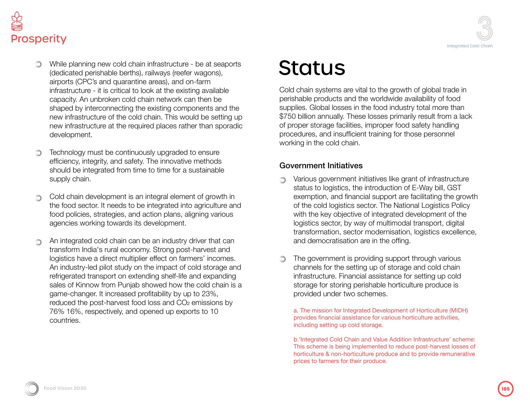



- While planning new cold chain infrastructure be at seaports (dedicated perishable berths), railways (reefer wagons), airports (CPC's and quarantine areas), and on-farm infrastructure - it is critical to look at the existing available capacity. An unbroken cold chain network can then be shaped by interconnecting the existing components and the new infrastructure of the cold chain. This would be setting up new infrastructure at the required places rather than sporadic development.
- Technology must be continuously upgraded to ensure efficiency, integrity, and safety. The innovative methods should be integrated from time to time for a sustainable supply chain.
- Cold chain development is an integral element of growth in ∩ the food sector. It needs to be integrated into agriculture and food policies, strategies, and action plans, aligning various agencies working towards its development.
- An integrated cold chain can be an industry driver that can transform India's rural economy. Strong post-harvest and logistics have a direct multiplier effect on farmers' incomes. An industry-led pilot study on the impact of cold storage and refrigerated transport on extending shelf-life and expanding sales of Kinnow from Punjab showed how the cold chain is a game-changer. It increased profitability by up to 23%, reduced the post-harvest food loss and CO<sub>2</sub> emissions by 76% 16%, respectively, and opened up exports to 10 countries.

### **Status**

Cold chain systems are vital to the growth of global trade in perishable products and the worldwide availability of food supplies. Global losses in the food industry total more than \$750 billion annually. These losses primarily result from a lack of proper storage facilities, improper food safety handling procedures, and insufficient training for those personnel working in the cold chain.

#### Government Initiatives

- Various government initiatives like grant of infrastructure  $\bigcirc$ status to logistics, the introduction of E-Way bill, GST exemption, and financial support are facilitating the growth of the cold logistics sector. The National Logistics Policy with the key objective of integrated development of the logistics sector, by way of multimodal transport, digital transformation, sector modernisation, logistics excellence, and democratisation are in the offing.
- The government is providing support through various channels for the setting up of storage and cold chain infrastructure. Financial assistance for setting up cold storage for storing perishable horticulture produce is provided under two schemes.

a. The mission for Integrated Development of Horticulture (MIDH) provides financial assistance for various horticulture activities, including setting up cold storage.

b.'Integrated Cold Chain and Value Addition Infrastructure' scheme: This scheme is being implemented to reduce post-harvest losses of horticulture & non-horticulture produce and to provide remunerative prices to farmers for their produce.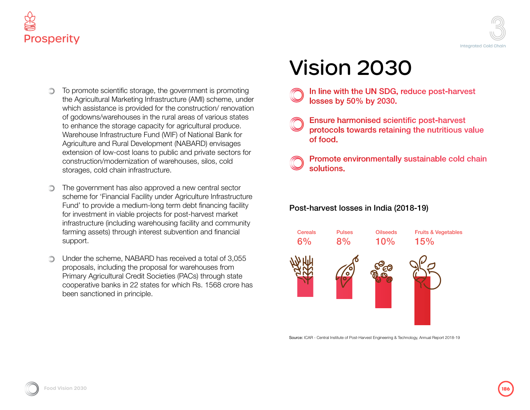



- To promote scientific storage, the government is promoting ∩ the Agricultural Marketing Infrastructure (AMI) scheme, under which assistance is provided for the construction/ renovation of godowns/warehouses in the rural areas of various states to enhance the storage capacity for agricultural produce. Warehouse Infrastructure Fund (WIF) of National Bank for Agriculture and Rural Development (NABARD) envisages extension of low-cost loans to public and private sectors for construction/modernization of warehouses, silos, cold storages, cold chain infrastructure.
- The government has also approved a new central sector scheme for 'Financial Facility under Agriculture Infrastructure Fund' to provide a medium-long term debt financing facility for investment in viable projects for post-harvest market infrastructure (including warehousing facility and community farming assets) through interest subvention and financial support.
- Under the scheme, NABARD has received a total of 3,055 proposals, including the proposal for warehouses from Primary Agricultural Credit Societies (PACs) through state cooperative banks in 22 states for which Rs. 1568 crore has been sanctioned in principle.

## Vision 2030

- - In line with the UN SDG, reduce post-harvest losses by 50% by 2030.
- **Ensure harmonised scientific post-harvest** protocols towards retaining the nutritious value of food.
	- Promote environmentally sustainable cold chain solutions.

### Post-harvest losses in India (2018-19)



Source: ICAR - Central Institute of Post-Harvest Engineering & Technology, Annual Report 2018-19

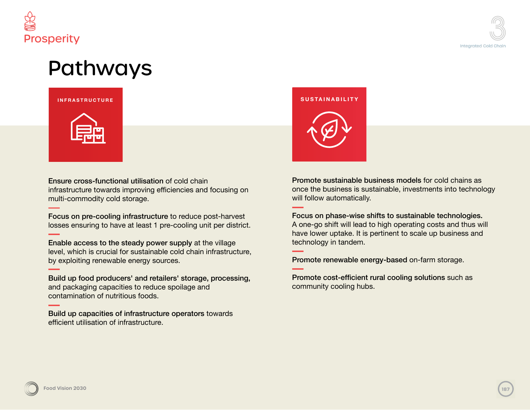



### Pathways



Ensure cross-functional utilisation of cold chain infrastructure towards improving efficiencies and focusing on multi-commodity cold storage.

Focus on pre-cooling infrastructure to reduce post-harvest losses ensuring to have at least 1 pre-cooling unit per district.

Enable access to the steady power supply at the village level, which is crucial for sustainable cold chain infrastructure, by exploiting renewable energy sources.

Build up food producers' and retailers' storage, processing, and packaging capacities to reduce spoilage and contamination of nutritious foods.

Build up capacities of infrastructure operators towards efficient utilisation of infrastructure.

## **INFRASTRUCTURE SUSTAINABILITY**

Promote sustainable business models for cold chains as once the business is sustainable, investments into technology will follow automatically.

Focus on phase-wise shifts to sustainable technologies. A one-go shift will lead to high operating costs and thus will have lower uptake. It is pertinent to scale up business and technology in tandem.

Promote renewable energy-based on-farm storage.

Promote cost-efficient rural cooling solutions such as community cooling hubs.